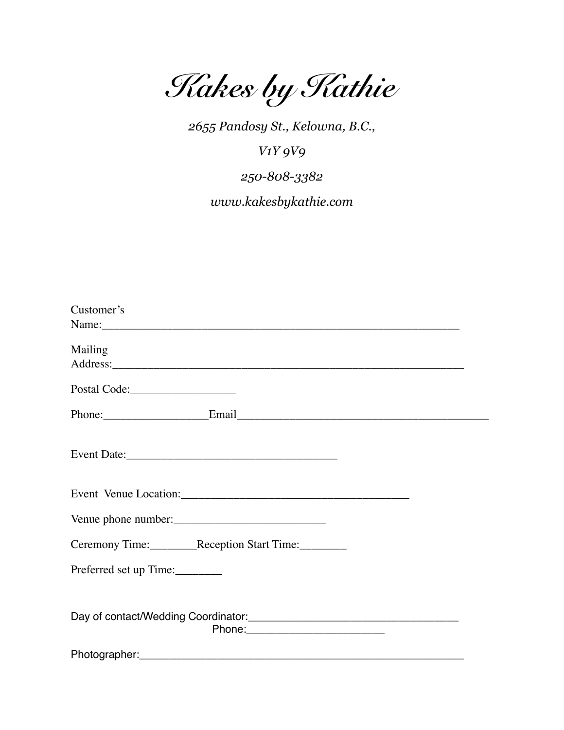*Kakes by Kathie* 

*2655 Pandosy St., Kelowna, B.C.,* 

*V1Y 9V9* 

*250-808-3382 www.kakesbykathie.com* 

| Customer's                                                                        |
|-----------------------------------------------------------------------------------|
| Mailing                                                                           |
|                                                                                   |
| Phone: Email Email Email Email                                                    |
| Event Date:                                                                       |
|                                                                                   |
| Venue phone number:                                                               |
| Ceremony Time: Reception Start Time:                                              |
| Preferred set up Time:                                                            |
| Day of contact/Wedding Coordinator:<br><u>Day of contact/Wedding Coordinator:</u> |
|                                                                                   |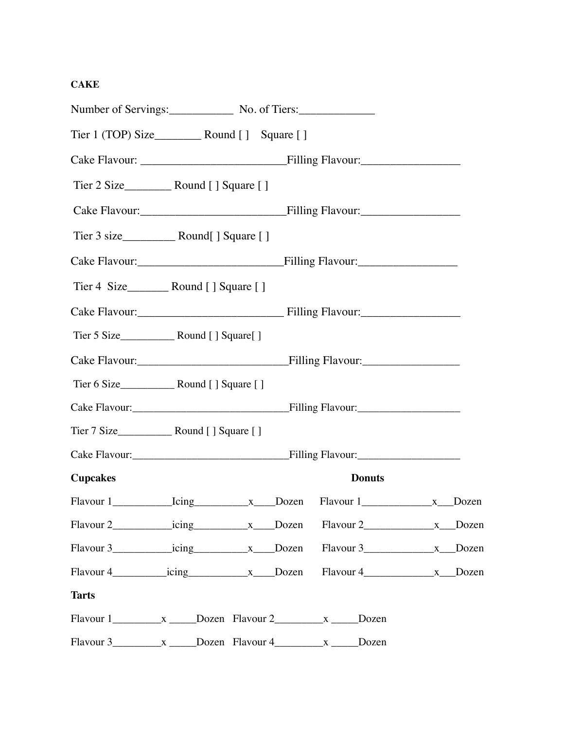## **CAKE**

| Number of Servings: No. of Tiers: |  |               |  |
|-----------------------------------|--|---------------|--|
|                                   |  |               |  |
|                                   |  |               |  |
|                                   |  |               |  |
|                                   |  |               |  |
|                                   |  |               |  |
|                                   |  |               |  |
|                                   |  |               |  |
|                                   |  |               |  |
|                                   |  |               |  |
|                                   |  |               |  |
|                                   |  |               |  |
|                                   |  |               |  |
|                                   |  |               |  |
|                                   |  |               |  |
| <b>Cupcakes</b>                   |  | <b>Donuts</b> |  |
|                                   |  |               |  |
|                                   |  |               |  |
|                                   |  |               |  |
|                                   |  |               |  |
| <b>Tarts</b>                      |  |               |  |
|                                   |  |               |  |
|                                   |  |               |  |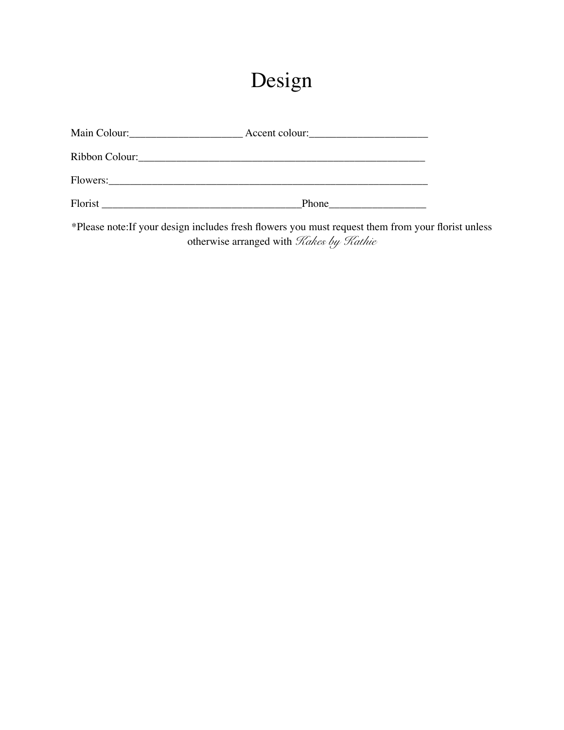# Design

| Main Colour:<br><u> </u>                                                                                                           | Accent colour: |
|------------------------------------------------------------------------------------------------------------------------------------|----------------|
| Ribbon Colour:                                                                                                                     |                |
| Flowers:<br><u> 1980 - Jan Samuel Barbara, margaret e</u> n 1980 eta eta 1980 eta 1980 eta 1980 eta 1980 eta 1980 eta 1980 eta 198 |                |
| Florist                                                                                                                            | Phone          |

\*Please note:If your design includes fresh flowers you must request them from your florist unless otherwise arranged with *Kakes by Kathie*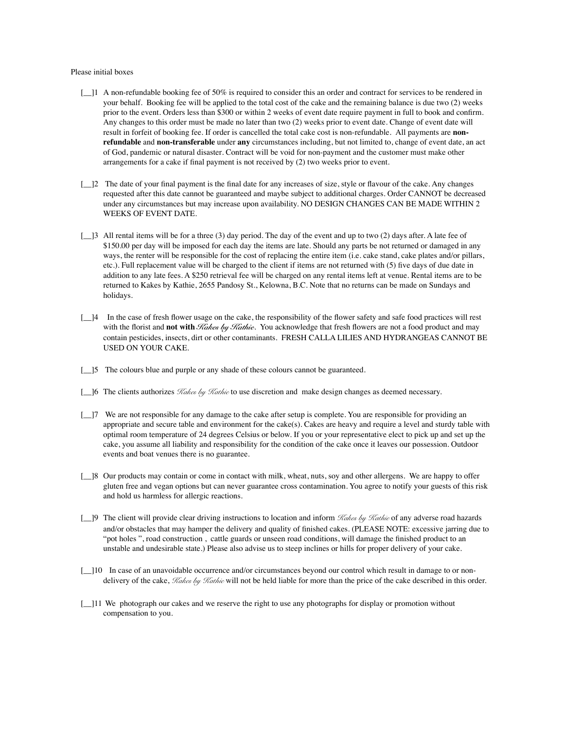#### Please initial boxes

- $\lceil$  | 1 A non-refundable booking fee of 50% is required to consider this an order and contract for services to be rendered in your behalf. Booking fee will be applied to the total cost of the cake and the remaining balance is due two (2) weeks prior to the event. Orders less than \$300 or within 2 weeks of event date require payment in full to book and confirm. Any changes to this order must be made no later than two (2) weeks prior to event date. Change of event date will result in forfeit of booking fee. If order is cancelled the total cake cost is non-refundable. All payments are **nonrefundable** and **non-transferable** under **any** circumstances including, but not limited to, change of event date, an act of God, pandemic or natural disaster. Contract will be void for non-payment and the customer must make other arrangements for a cake if final payment is not received by (2) two weeks prior to event.
- $\lceil \cdot \rceil$  The date of your final payment is the final date for any increases of size, style or flavour of the cake. Any changes requested after this date cannot be guaranteed and maybe subject to additional charges. Order CANNOT be decreased under any circumstances but may increase upon availability. NO DESIGN CHANGES CAN BE MADE WITHIN 2 WEEKS OF EVENT DATE.
- $\lceil \frac{3}{2} \rceil$  All rental items will be for a three (3) day period. The day of the event and up to two (2) days after. A late fee of \$150.00 per day will be imposed for each day the items are late. Should any parts be not returned or damaged in any ways, the renter will be responsible for the cost of replacing the entire item (i.e. cake stand, cake plates and/or pillars, etc.). Full replacement value will be charged to the client if items are not returned with (5) five days of due date in addition to any late fees. A \$250 retrieval fee will be charged on any rental items left at venue. Rental items are to be returned to Kakes by Kathie, 2655 Pandosy St., Kelowna, B.C. Note that no returns can be made on Sundays and holidays.
- [\_\_]4 In the case of fresh flower usage on the cake, the responsibility of the flower safety and safe food practices will rest with the florist and **not with** *Kakes by Kathie*. You acknowledge that fresh flowers are not a food product and may contain pesticides, insects, dirt or other contaminants. FRESH CALLA LILIES AND HYDRANGEAS CANNOT BE USED ON YOUR CAKE.
- [15] The colours blue and purple or any shade of these colours cannot be guaranteed.
- [\_\_]6 The clients authorizes *Kakes by Kathie* to use discretion and make design changes as deemed necessary.
- [\_\_]7 We are not responsible for any damage to the cake after setup is complete. You are responsible for providing an appropriate and secure table and environment for the cake(s). Cakes are heavy and require a level and sturdy table with optimal room temperature of 24 degrees Celsius or below. If you or your representative elect to pick up and set up the cake, you assume all liability and responsibility for the condition of the cake once it leaves our possession. Outdoor events and boat venues there is no guarantee.
- [\_]8 Our products may contain or come in contact with milk, wheat, nuts, soy and other allergens. We are happy to offer gluten free and vegan options but can never guarantee cross contamination. You agree to notify your guests of this risk and hold us harmless for allergic reactions.
- [\_\_]9 The client will provide clear driving instructions to location and inform *Kakes by Kathie* of any adverse road hazards and/or obstacles that may hamper the delivery and quality of finished cakes. (PLEASE NOTE: excessive jarring due to "pot holes ", road construction , cattle guards or unseen road conditions, will damage the finished product to an unstable and undesirable state.) Please also advise us to steep inclines or hills for proper delivery of your cake.
- [\_]10 In case of an unavoidable occurrence and/or circumstances beyond our control which result in damage to or nondelivery of the cake, *Kakes by Kathie* will not be held liable for more than the price of the cake described in this order.
- [ $\Box$ ]11 We photograph our cakes and we reserve the right to use any photographs for display or promotion without compensation to you.